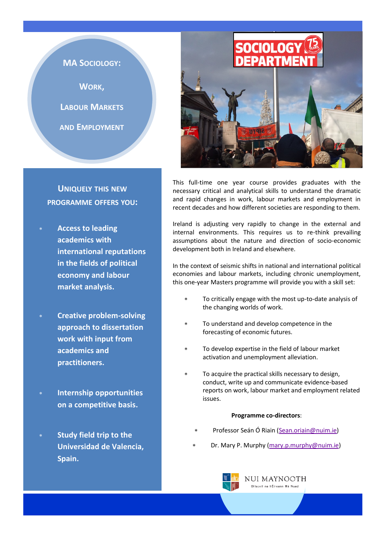

# **UNIQUELY THIS NEW PROGRAMME OFFERS YOU:**

- **Access to leading academics with international reputations in the fields of political economy and labour market analysis.**
- **Creative problem-solving approach to dissertation work with input from academics and practitioners.**
- **Internship opportunities on a competitive basis.**
- **Study field trip to the Universidad de Valencia, Spain.**



This full-time one year course provides graduates with the necessary critical and analytical skills to understand the dramatic and rapid changes in work, labour markets and employment in recent decades and how different societies are responding to them.

Ireland is adjusting very rapidly to change in the external and internal environments. This requires us to re-think prevailing assumptions about the nature and direction of socio-economic development both in Ireland and elsewhere.

In the context of seismic shifts in national and international political economies and labour markets, including chronic unemployment, this one-year Masters programme will provide you with a skill set:

- To critically engage with the most up-to-date analysis of the changing worlds of work.
- To understand and develop competence in the forecasting of economic futures.
- To develop expertise in the field of labour market activation and unemployment alleviation.
- To acquire the practical skills necessary to design, conduct, write up and communicate evidence-based reports on work, labour market and employment related issues.

## **Programme co-directors**:

- Professor Seán Ó Riain [\(Sean.oriain@nuim.ie\)](mailto:Sean.Oriain@nuim.ie)
- Dr. Mary P. Murphy [\(mary.p.murphy@nuim.ie\)](mailto:mary.p.murphy@nuim.ie)

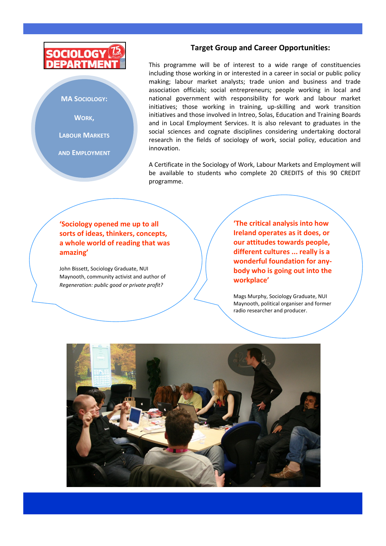

## **MA SOCIOLOGY:**

**WORK,** 

**LABOUR MARKETS**

**AND EMPLOYMENT**

# **Target Group and Career Opportunities:**

This programme will be of interest to a wide range of constituencies including those working in or interested in a career in social or public policy making; labour market analysts; trade union and business and trade association officials; social entrepreneurs; people working in local and national government with responsibility for work and labour market initiatives; those working in training, up-skilling and work transition initiatives and those involved in Intreo, Solas, Education and Training Boards and in Local Employment Services. It is also relevant to graduates in the social sciences and cognate disciplines considering undertaking doctoral research in the fields of sociology of work, social policy, education and innovation.

A Certificate in the Sociology of Work, Labour Markets and Employment will be available to students who complete 20 CREDITS of this 90 CREDIT programme.

**'Sociology opened me up to all sorts of ideas, thinkers, concepts, a whole world of reading that was amazing'**

John Bissett, Sociology Graduate, NUI Maynooth, community activist and author of *Regeneration: public good or private profit?*

**'The critical analysis into how Ireland operates as it does, or our attitudes towards people, different cultures ... really is a wonderful foundation for anybody who is going out into the workplace'**

Mags Murphy, Sociology Graduate, NUI Maynooth, political organiser and former radio researcher and producer.

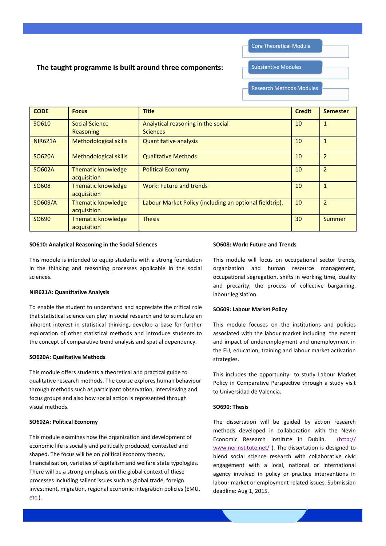**Core Theoretical Module** 

**Substantive Modules** 

## **The taught programme is built around three components:**

**Research Methods Modules** 

| <b>CODE</b>    | <b>Focus</b>                             | <b>Title</b>                                            | <b>Credit</b> | <b>Semester</b> |
|----------------|------------------------------------------|---------------------------------------------------------|---------------|-----------------|
| SO610          | <b>Social Science</b><br>Reasoning       | Analytical reasoning in the social<br><b>Sciences</b>   | 10            | $\mathbf{1}$    |
| <b>NIR621A</b> | <b>Methodological skills</b>             | <b>Quantitative analysis</b>                            | 10            | $\mathbf{1}$    |
| <b>SO620A</b>  | <b>Methodological skills</b>             | <b>Qualitative Methods</b>                              | 10            | $\overline{2}$  |
| SO602A         | <b>Thematic knowledge</b><br>acquisition | <b>Political Economy</b>                                | 10            | $\overline{2}$  |
| SO608          | <b>Thematic knowledge</b><br>acquisition | Work: Future and trends                                 | 10            | $\mathbf{1}$    |
| SO609/A        | <b>Thematic knowledge</b><br>acquisition | Labour Market Policy (including an optional fieldtrip). | 10            | $\overline{2}$  |
| SO690          | <b>Thematic knowledge</b><br>acquisition | <b>Thesis</b>                                           | 30            | <b>Summer</b>   |

#### **SO610: Analytical Reasoning in the Social Sciences**

This module is intended to equip students with a strong foundation in the thinking and reasoning processes applicable in the social sciences.

#### **NIR621A: Quantitative Analysis**

To enable the student to understand and appreciate the critical role that statistical science can play in social research and to stimulate an inherent interest in statistical thinking, develop a base for further exploration of other statistical methods and introduce students to the concept of comparative trend analysis and spatial dependency.

#### **SO620A: Qualitative Methods**

This module offers students a theoretical and practical guide to qualitative research methods. The course explores human behaviour through methods such as participant observation, interviewing and focus groups and also how social action is represented through visual methods.

#### **SO602A: Political Economy**

This module examines how the organization and development of economic life is socially and politically produced, contested and shaped. The focus will be on political economy theory, financialisation, varieties of capitalism and welfare state typologies. There will be a strong emphasis on the global context of these processes including salient issues such as global trade, foreign investment, migration, regional economic integration policies (EMU, etc.).

#### **SO608: Work: Future and Trends**

This module will focus on occupational sector trends, organization and human resource management, occupational segregation, shifts in working time, duality and precarity, the process of collective bargaining, labour legislation.

#### **SO609: Labour Market Policy**

This module focuses on the institutions and policies associated with the labour market including the extent and impact of underemployment and unemployment in the EU, education, training and labour market activation strategies.

This includes the opportunity to study Labour Market Policy in Comparative Perspective through a study visit to Universidad de Valencia.

### **SO690: Thesis**

The dissertation will be guided by action research methods developed in collaboration with the Nevin Economic Research Institute in Dublin. ([http://](http://www.nerinstitute.net/) [www.nerinstitute.net/](http://www.nerinstitute.net/) ). The dissertation is designed to blend social science research with collaborative civic engagement with a local, national or international agency involved in policy or practice interventions in labour market or employment related issues. Submission deadline: Aug 1, 2015.